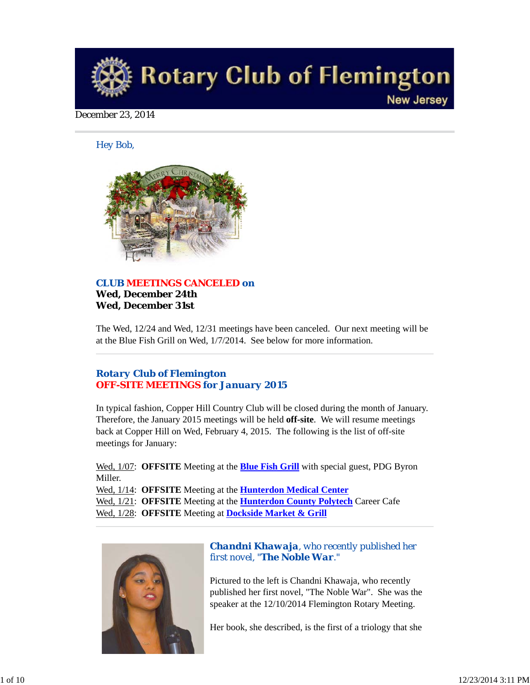

## December 23, 2014

*Hey Bob,* 



## *CLUB MEETINGS CANCELED on* **Wed, December 24th Wed, December 31st**

The Wed, 12/24 and Wed, 12/31 meetings have been canceled. Our next meeting will be at the Blue Fish Grill on Wed, 1/7/2014. See below for more information.

# *Rotary Club of Flemington OFF-SITE MEETINGS for January 2015*

In typical fashion, Copper Hill Country Club will be closed during the month of January. Therefore, the January 2015 meetings will be held **off-site**. We will resume meetings back at Copper Hill on Wed, February 4, 2015. The following is the list of off-site meetings for January:

Wed, 1/07: **OFFSITE** Meeting at the **Blue Fish Grill** with special guest, PDG Byron Miller.

Wed, 1/14: **OFFSITE** Meeting at the **Hunterdon Medical Center** Wed, 1/21: **OFFSITE** Meeting at the **Hunterdon County Polytech** Career Cafe Wed, 1/28: **OFFSITE** Meeting at **Dockside Market & Grill**



# *Chandni Khawaja, who recently published her first novel, "The Noble War."*

Pictured to the left is Chandni Khawaja, who recently published her first novel, "The Noble War". She was the speaker at the 12/10/2014 Flemington Rotary Meeting.

Her book, she described, is the first of a triology that she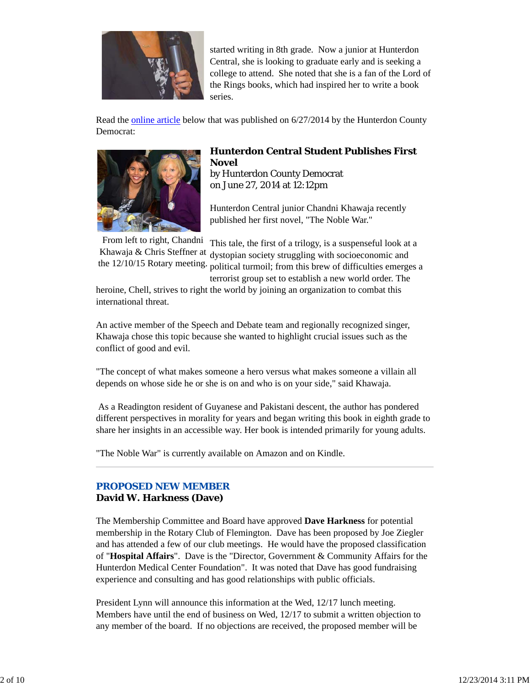

started writing in 8th grade. Now a junior at Hunterdon Central, she is looking to graduate early and is seeking a college to attend. She noted that she is a fan of the Lord of the Rings books, which had inspired her to write a book series.

Read the online article below that was published on 6/27/2014 by the Hunterdon County Democrat:



# **Hunterdon Central Student Publishes First Novel**

by Hunterdon County Democrat on June 27, 2014 at 12:12pm

Hunterdon Central junior Chandni Khawaja recently published her first novel, "The Noble War."

From left to right, Chandni This tale, the first of a trilogy, is a suspenseful look at a Khawaja & Chris Steffner at the  $12/10/15$  Rotary meeting. political turmoil; from this brew of difficulties emerges a dystopian society struggling with socioeconomic and

terrorist group set to establish a new world order. The heroine, Chell, strives to right the world by joining an organization to combat this international threat.

An active member of the Speech and Debate team and regionally recognized singer, Khawaja chose this topic because she wanted to highlight crucial issues such as the conflict of good and evil.

"The concept of what makes someone a hero versus what makes someone a villain all depends on whose side he or she is on and who is on your side," said Khawaja.

 As a Readington resident of Guyanese and Pakistani descent, the author has pondered different perspectives in morality for years and began writing this book in eighth grade to share her insights in an accessible way. Her book is intended primarily for young adults.

"The Noble War" is currently available on Amazon and on Kindle.

## *PROPOSED NEW MEMBER* **David W. Harkness (Dave)**

The Membership Committee and Board have approved **Dave Harkness** for potential membership in the Rotary Club of Flemington. Dave has been proposed by Joe Ziegler and has attended a few of our club meetings. He would have the proposed classification of "**Hospital Affairs**". Dave is the "Director, Government & Community Affairs for the Hunterdon Medical Center Foundation". It was noted that Dave has good fundraising experience and consulting and has good relationships with public officials.

President Lynn will announce this information at the Wed, 12/17 lunch meeting. Members have until the end of business on Wed, 12/17 to submit a written objection to any member of the board. If no objections are received, the proposed member will be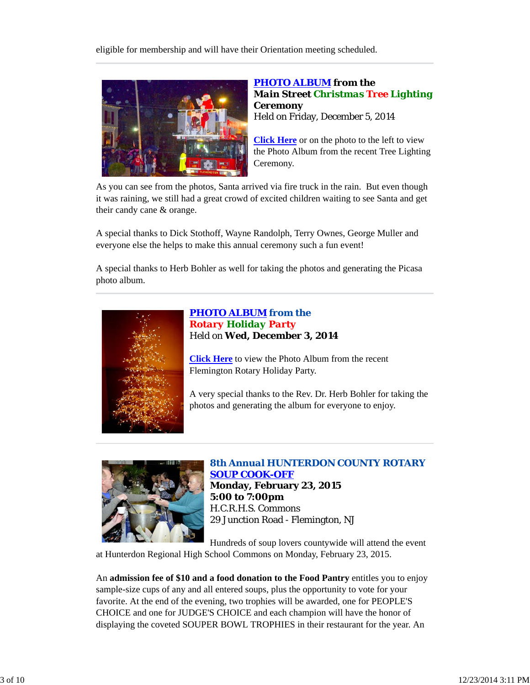eligible for membership and will have their Orientation meeting scheduled.



# *PHOTO ALBUM from the Main Street Christmas Tree Lighting Ceremony* Held on Friday, December 5, 2014

**Click Here** or on the photo to the left to view the Photo Album from the recent Tree Lighting Ceremony.

As you can see from the photos, Santa arrived via fire truck in the rain. But even though it was raining, we still had a great crowd of excited children waiting to see Santa and get their candy cane & orange.

A special thanks to Dick Stothoff, Wayne Randolph, Terry Ownes, George Muller and everyone else the helps to make this annual ceremony such a fun event!

A special thanks to Herb Bohler as well for taking the photos and generating the Picasa photo album.



*PHOTO ALBUM from the Rotary Holiday Party* Held on **Wed, December 3, 2014**

**Click Here** to view the Photo Album from the recent Flemington Rotary Holiday Party.

A very special thanks to the Rev. Dr. Herb Bohler for taking the photos and generating the album for everyone to enjoy.



# *8th Annual HUNTERDON COUNTY ROTARY SOUP COOK-OFF* **Monday, February 23, 2015**

**5:00 to 7:00pm** H.C.R.H.S. Commons 29 Junction Road - Flemington, NJ

Hundreds of soup lovers countywide will attend the event at Hunterdon Regional High School Commons on Monday, February 23, 2015.

An **admission fee of \$10 and a food donation to the Food Pantry** entitles you to enjoy sample-size cups of any and all entered soups, plus the opportunity to vote for your favorite. At the end of the evening, two trophies will be awarded, one for PEOPLE'S CHOICE and one for JUDGE'S CHOICE and each champion will have the honor of displaying the coveted SOUPER BOWL TROPHIES in their restaurant for the year. An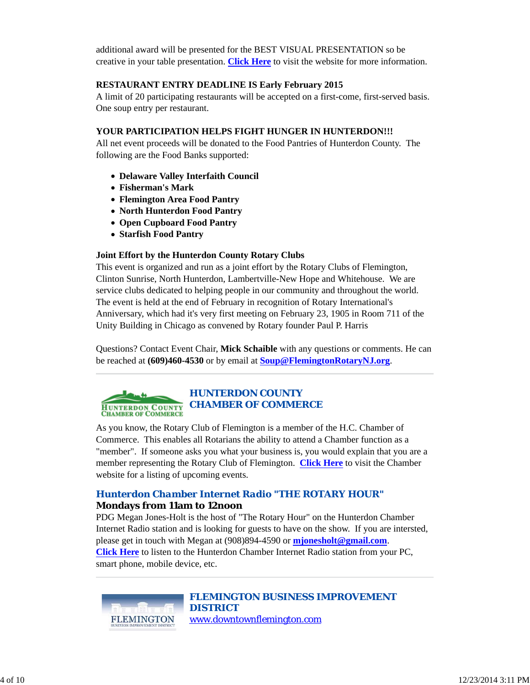additional award will be presented for the BEST VISUAL PRESENTATION so be creative in your table presentation. **Click Here** to visit the website for more information.

## **RESTAURANT ENTRY DEADLINE IS Early February 2015**

A limit of 20 participating restaurants will be accepted on a first-come, first-served basis. One soup entry per restaurant.

### **YOUR PARTICIPATION HELPS FIGHT HUNGER IN HUNTERDON!!!**

All net event proceeds will be donated to the Food Pantries of Hunterdon County. The following are the Food Banks supported:

- **Delaware Valley Interfaith Council**
- **Fisherman's Mark**
- **Flemington Area Food Pantry**
- **North Hunterdon Food Pantry**
- **Open Cupboard Food Pantry**
- **Starfish Food Pantry**

### **Joint Effort by the Hunterdon County Rotary Clubs**

This event is organized and run as a joint effort by the Rotary Clubs of Flemington, Clinton Sunrise, North Hunterdon, Lambertville-New Hope and Whitehouse. We are service clubs dedicated to helping people in our community and throughout the world. The event is held at the end of February in recognition of Rotary International's Anniversary, which had it's very first meeting on February 23, 1905 in Room 711 of the Unity Building in Chicago as convened by Rotary founder Paul P. Harris

Questions? Contact Event Chair, **Mick Schaible** with any questions or comments. He can be reached at **(609)460-4530** or by email at **Soup@FlemingtonRotaryNJ.org**.

### *HUNTERDON COUNTY CHAMBER OF COMMERCE* **HUNTERDON COUNTY**<br>CHAMBER OF COMMERCE

As you know, the Rotary Club of Flemington is a member of the H.C. Chamber of Commerce. This enables all Rotarians the ability to attend a Chamber function as a "member". If someone asks you what your business is, you would explain that you are a member representing the Rotary Club of Flemington. **Click Here** to visit the Chamber website for a listing of upcoming events.

# *Hunterdon Chamber Internet Radio "THE ROTARY HOUR"* **Mondays from 11am to 12noon**

PDG Megan Jones-Holt is the host of "The Rotary Hour" on the Hunterdon Chamber Internet Radio station and is looking for guests to have on the show. If you are intersted, please get in touch with Megan at (908)894-4590 or **mjonesholt@gmail.com**. **Click Here** to listen to the Hunterdon Chamber Internet Radio station from your PC, smart phone, mobile device, etc.



*FLEMINGTON BUSINESS IMPROVEMENT DISTRICT* www.downtownflemington.com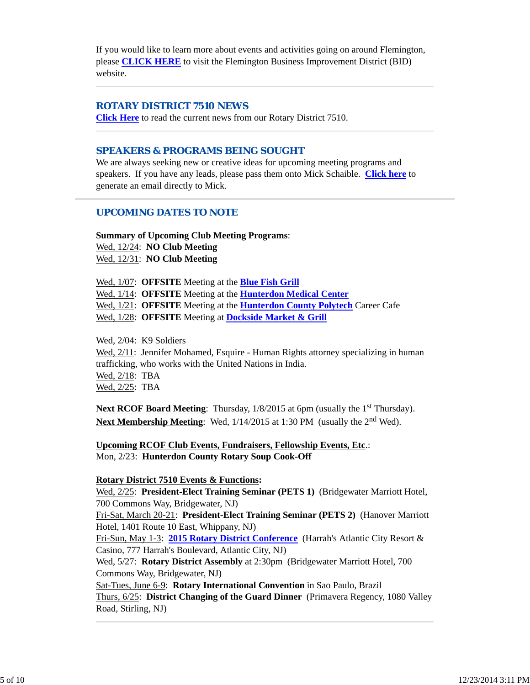If you would like to learn more about events and activities going on around Flemington, please **CLICK HERE** to visit the Flemington Business Improvement District (BID) website.

## *ROTARY DISTRICT 7510 NEWS*

**Click Here** to read the current news from our Rotary District 7510.

### *SPEAKERS & PROGRAMS BEING SOUGHT*

We are always seeking new or creative ideas for upcoming meeting programs and speakers. If you have any leads, please pass them onto Mick Schaible. **Click here** to generate an email directly to Mick.

## *UPCOMING DATES TO NOTE*

**Summary of Upcoming Club Meeting Programs**:

Wed, 12/24: **NO Club Meeting** Wed, 12/31: **NO Club Meeting**

Wed, 1/07: **OFFSITE** Meeting at the **Blue Fish Grill** Wed, 1/14: **OFFSITE** Meeting at the **Hunterdon Medical Center** Wed, 1/21: **OFFSITE** Meeting at the **Hunterdon County Polytech** Career Cafe Wed, 1/28: **OFFSITE** Meeting at **Dockside Market & Grill**

Wed, 2/04: K9 Soldiers Wed, 2/11: Jennifer Mohamed, Esquire - Human Rights attorney specializing in human trafficking, who works with the United Nations in India. Wed, 2/18: TBA Wed, 2/25: TBA

Next RCOF Board Meeting: Thursday, 1/8/2015 at 6pm (usually the 1<sup>st</sup> Thursday). **Next Membership Meeting:** Wed,  $1/14/2015$  at 1:30 PM (usually the 2<sup>nd</sup> Wed).

**Upcoming RCOF Club Events, Fundraisers, Fellowship Events, Etc**.: Mon, 2/23: **Hunterdon County Rotary Soup Cook-Off**

### **Rotary District 7510 Events & Functions:**

Wed, 2/25: **President-Elect Training Seminar (PETS 1)** (Bridgewater Marriott Hotel, 700 Commons Way, Bridgewater, NJ)

Fri-Sat, March 20-21: **President-Elect Training Seminar (PETS 2)** (Hanover Marriott Hotel, 1401 Route 10 East, Whippany, NJ)

Fri-Sun, May 1-3: **2015 Rotary District Conference** (Harrah's Atlantic City Resort & Casino, 777 Harrah's Boulevard, Atlantic City, NJ)

Wed, 5/27: **Rotary District Assembly** at 2:30pm (Bridgewater Marriott Hotel, 700 Commons Way, Bridgewater, NJ)

Sat-Tues, June 6-9: **Rotary International Convention** in Sao Paulo, Brazil Thurs, 6/25: **District Changing of the Guard Dinner** (Primavera Regency, 1080 Valley Road, Stirling, NJ)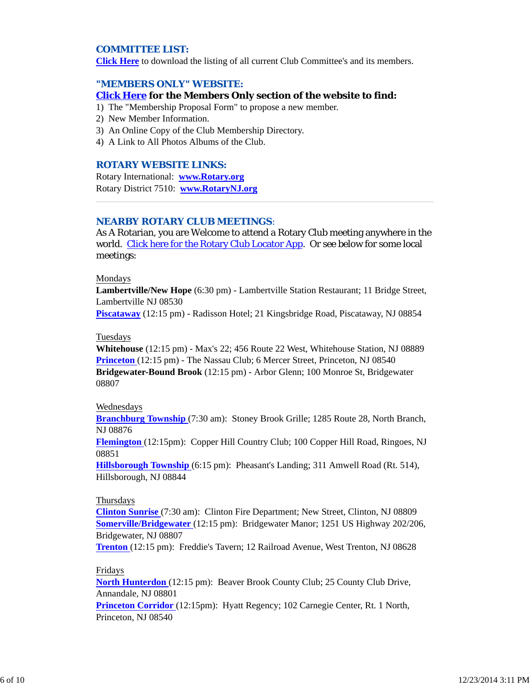## *COMMITTEE LIST:*

**Click Here** to download the listing of all current Club Committee's and its members.

### *"MEMBERS ONLY" WEBSITE:*

#### **Click Here for the Members Only section of the website to find:**

- 1) The "Membership Proposal Form" to propose a new member.
- 2) New Member Information.
- 3) An Online Copy of the Club Membership Directory.
- 4) A Link to All Photos Albums of the Club.

#### *ROTARY WEBSITE LINKS:*

Rotary International: **www.Rotary.org** Rotary District 7510: **www.RotaryNJ.org**

#### *NEARBY ROTARY CLUB MEETINGS:*

As A Rotarian, you are Welcome to attend a Rotary Club meeting anywhere in the world. Click here for the Rotary Club Locator App. Or see below for some local meetings:

#### Mondays

**Lambertville/New Hope** (6:30 pm) - Lambertville Station Restaurant; 11 Bridge Street, Lambertville NJ 08530

**Piscataway** (12:15 pm) - Radisson Hotel; 21 Kingsbridge Road, Piscataway, NJ 08854

### Tuesdays

**Whitehouse** (12:15 pm) - Max's 22; 456 Route 22 West, Whitehouse Station, NJ 08889 **Princeton** (12:15 pm) - The Nassau Club; 6 Mercer Street, Princeton, NJ 08540 **Bridgewater-Bound Brook** (12:15 pm) - Arbor Glenn; 100 Monroe St, Bridgewater 08807

#### Wednesdays

**Branchburg Township** (7:30 am): Stoney Brook Grille; 1285 Route 28, North Branch, NJ 08876

**Flemington** (12:15pm): Copper Hill Country Club; 100 Copper Hill Road, Ringoes, NJ 08851

**Hillsborough Township** (6:15 pm): Pheasant's Landing; 311 Amwell Road (Rt. 514), Hillsborough, NJ 08844

#### Thursdays

**Clinton Sunrise** (7:30 am): Clinton Fire Department; New Street, Clinton, NJ 08809 **Somerville/Bridgewater** (12:15 pm): Bridgewater Manor; 1251 US Highway 202/206, Bridgewater, NJ 08807

**Trenton** (12:15 pm): Freddie's Tavern; 12 Railroad Avenue, West Trenton, NJ 08628

### Fridays

**North Hunterdon** (12:15 pm): Beaver Brook County Club; 25 County Club Drive, Annandale, NJ 08801

**Princeton Corridor** (12:15pm): Hyatt Regency; 102 Carnegie Center, Rt. 1 North, Princeton, NJ 08540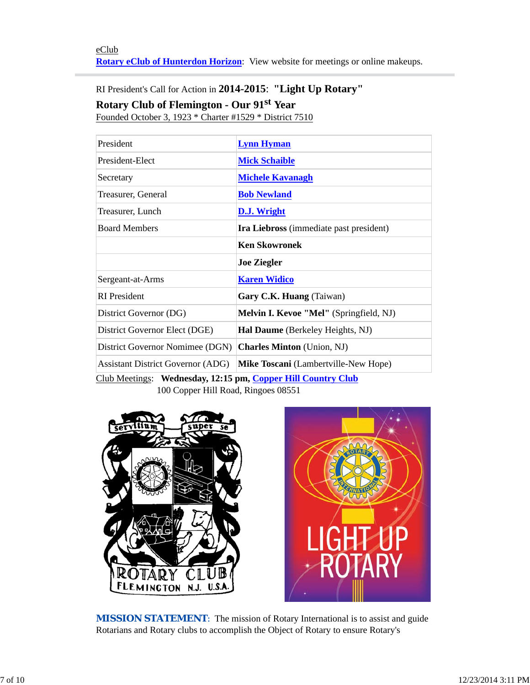RI President's Call for Action in **2014-2015**: **"Light Up Rotary"**

**Rotary Club of Flemington - Our 91st Year**

Founded October 3, 1923 \* Charter #1529 \* District 7510

| President                                | <b>Lynn Hyman</b>                       |  |
|------------------------------------------|-----------------------------------------|--|
| President-Elect                          | <b>Mick Schaible</b>                    |  |
| Secretary                                | <b>Michele Kavanagh</b>                 |  |
| Treasurer, General                       | <b>Bob Newland</b>                      |  |
| Treasurer, Lunch                         | <b>D.J. Wright</b>                      |  |
| <b>Board Members</b>                     | Ira Liebross (immediate past president) |  |
|                                          | <b>Ken Skowronek</b>                    |  |
|                                          | <b>Joe Ziegler</b>                      |  |
| Sergeant-at-Arms                         | <b>Karen Widico</b>                     |  |
| <b>RI</b> President                      | Gary C.K. Huang (Taiwan)                |  |
| District Governor (DG)                   | Melvin I. Kevoe "Mel" (Springfield, NJ) |  |
| District Governor Elect (DGE)            | Hal Daume (Berkeley Heights, NJ)        |  |
| District Governor Nomimee (DGN)          | <b>Charles Minton</b> (Union, NJ)       |  |
| <b>Assistant District Governor (ADG)</b> | Mike Toscani (Lambertville-New Hope)    |  |
|                                          |                                         |  |

Club Meetings: **Wednesday, 12:15 pm, Copper Hill Country Club** 100 Copper Hill Road, Ringoes 08551





**MISSION STATEMENT:** The mission of Rotary International is to assist and guide Rotarians and Rotary clubs to accomplish the Object of Rotary to ensure Rotary's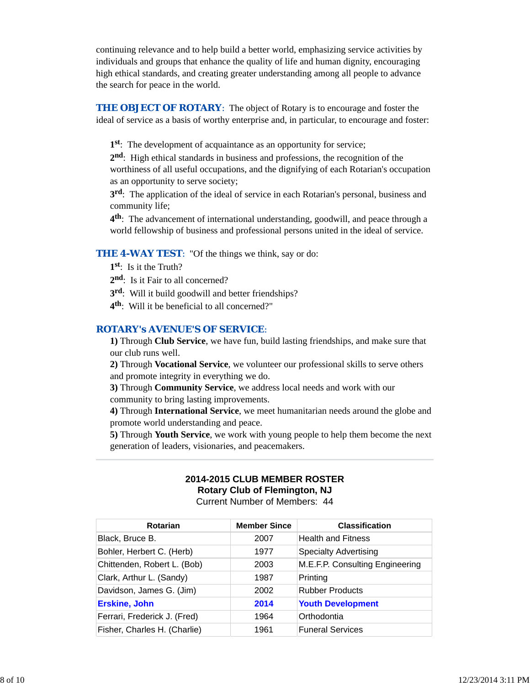continuing relevance and to help build a better world, emphasizing service activities by individuals and groups that enhance the quality of life and human dignity, encouraging high ethical standards, and creating greater understanding among all people to advance the search for peace in the world.

**THE OBJECT OF ROTARY:** The object of Rotary is to encourage and foster the ideal of service as a basis of worthy enterprise and, in particular, to encourage and foster:

**1st**: The development of acquaintance as an opportunity for service;

**2nd**: High ethical standards in business and professions, the recognition of the worthiness of all useful occupations, and the dignifying of each Rotarian's occupation as an opportunity to serve society;

**3rd**: The application of the ideal of service in each Rotarian's personal, business and community life;

**4th**: The advancement of international understanding, goodwill, and peace through a world fellowship of business and professional persons united in the ideal of service.

### **THE 4-WAY TEST:** "Of the things we think, say or do:

- **1st**: Is it the Truth?
- 2<sup>nd</sup>: Is it Fair to all concerned?
- **3rd**: Will it build goodwill and better friendships?
- **4th**: Will it be beneficial to all concerned?"

### *ROTARY's AVENUE'S OF SERVICE*:

**1)** Through **Club Service**, we have fun, build lasting friendships, and make sure that our club runs well.

**2)** Through **Vocational Service**, we volunteer our professional skills to serve others and promote integrity in everything we do.

**3)** Through **Community Service**, we address local needs and work with our community to bring lasting improvements.

**4)** Through **International Service**, we meet humanitarian needs around the globe and promote world understanding and peace.

**5)** Through **Youth Service**, we work with young people to help them become the next generation of leaders, visionaries, and peacemakers.

# **2014-2015 CLUB MEMBER ROSTER Rotary Club of Flemington, NJ**

Current Number of Members: 44

| <b>Rotarian</b>              | <b>Member Since</b> | <b>Classification</b>           |
|------------------------------|---------------------|---------------------------------|
| Black, Bruce B.              | 2007                | <b>Health and Fitness</b>       |
| Bohler, Herbert C. (Herb)    | 1977                | <b>Specialty Advertising</b>    |
| Chittenden, Robert L. (Bob)  | 2003                | M.E.F.P. Consulting Engineering |
| Clark, Arthur L. (Sandy)     | 1987                | Printing                        |
| Davidson, James G. (Jim)     | 2002                | <b>Rubber Products</b>          |
| <b>Erskine, John</b>         | 2014                | <b>Youth Development</b>        |
| Ferrari, Frederick J. (Fred) | 1964                | Orthodontia                     |
| Fisher, Charles H. (Charlie) | 1961                | <b>Funeral Services</b>         |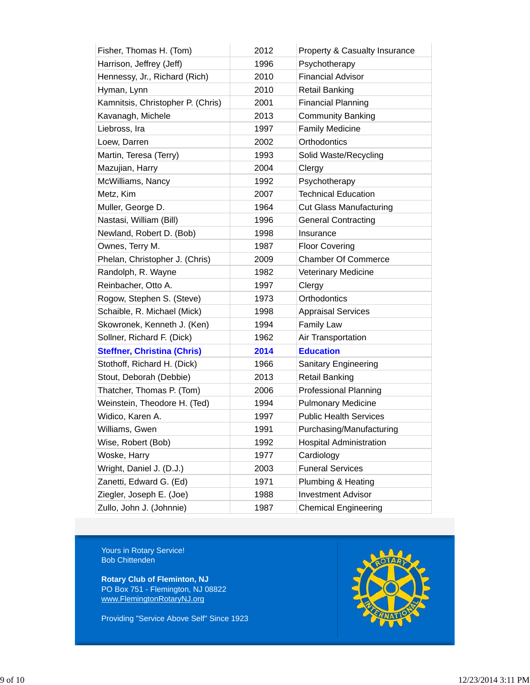| Fisher, Thomas H. (Tom)            | 2012 | Property & Casualty Insurance  |
|------------------------------------|------|--------------------------------|
| Harrison, Jeffrey (Jeff)           | 1996 | Psychotherapy                  |
| Hennessy, Jr., Richard (Rich)      | 2010 | <b>Financial Advisor</b>       |
| Hyman, Lynn                        | 2010 | <b>Retail Banking</b>          |
| Kamnitsis, Christopher P. (Chris)  | 2001 | <b>Financial Planning</b>      |
| Kavanagh, Michele                  | 2013 | <b>Community Banking</b>       |
| Liebross, Ira                      | 1997 | <b>Family Medicine</b>         |
| Loew, Darren                       | 2002 | Orthodontics                   |
| Martin, Teresa (Terry)             | 1993 | Solid Waste/Recycling          |
| Mazujian, Harry                    | 2004 | Clergy                         |
| McWilliams, Nancy                  | 1992 | Psychotherapy                  |
| Metz, Kim                          | 2007 | <b>Technical Education</b>     |
| Muller, George D.                  | 1964 | <b>Cut Glass Manufacturing</b> |
| Nastasi, William (Bill)            | 1996 | <b>General Contracting</b>     |
| Newland, Robert D. (Bob)           | 1998 | Insurance                      |
| Ownes, Terry M.                    | 1987 | <b>Floor Covering</b>          |
| Phelan, Christopher J. (Chris)     | 2009 | <b>Chamber Of Commerce</b>     |
| Randolph, R. Wayne                 | 1982 | Veterinary Medicine            |
| Reinbacher, Otto A.                | 1997 | Clergy                         |
| Rogow, Stephen S. (Steve)          | 1973 | Orthodontics                   |
| Schaible, R. Michael (Mick)        | 1998 | <b>Appraisal Services</b>      |
| Skowronek, Kenneth J. (Ken)        | 1994 | <b>Family Law</b>              |
| Sollner, Richard F. (Dick)         | 1962 | Air Transportation             |
| <b>Steffner, Christina (Chris)</b> | 2014 | <b>Education</b>               |
| Stothoff, Richard H. (Dick)        | 1966 | Sanitary Engineering           |
| Stout, Deborah (Debbie)            | 2013 | <b>Retail Banking</b>          |
| Thatcher, Thomas P. (Tom)          | 2006 | <b>Professional Planning</b>   |
| Weinstein, Theodore H. (Ted)       | 1994 | <b>Pulmonary Medicine</b>      |
| Widico, Karen A.                   | 1997 | <b>Public Health Services</b>  |
| Williams, Gwen                     | 1991 | Purchasing/Manufacturing       |
| Wise, Robert (Bob)                 | 1992 | <b>Hospital Administration</b> |
| Woske, Harry                       | 1977 | Cardiology                     |
| Wright, Daniel J. (D.J.)           | 2003 | <b>Funeral Services</b>        |
| Zanetti, Edward G. (Ed)            | 1971 | Plumbing & Heating             |
| Ziegler, Joseph E. (Joe)           | 1988 | <b>Investment Advisor</b>      |
| Zullo, John J. (Johnnie)           | 1987 | <b>Chemical Engineering</b>    |

Yours in Rotary Service! Bob Chittenden

**Rotary Club of Fleminton, NJ** PO Box 751 - Flemington, NJ 08822 www.FlemingtonRotaryNJ.org

Providing "Service Above Self" Since 1923